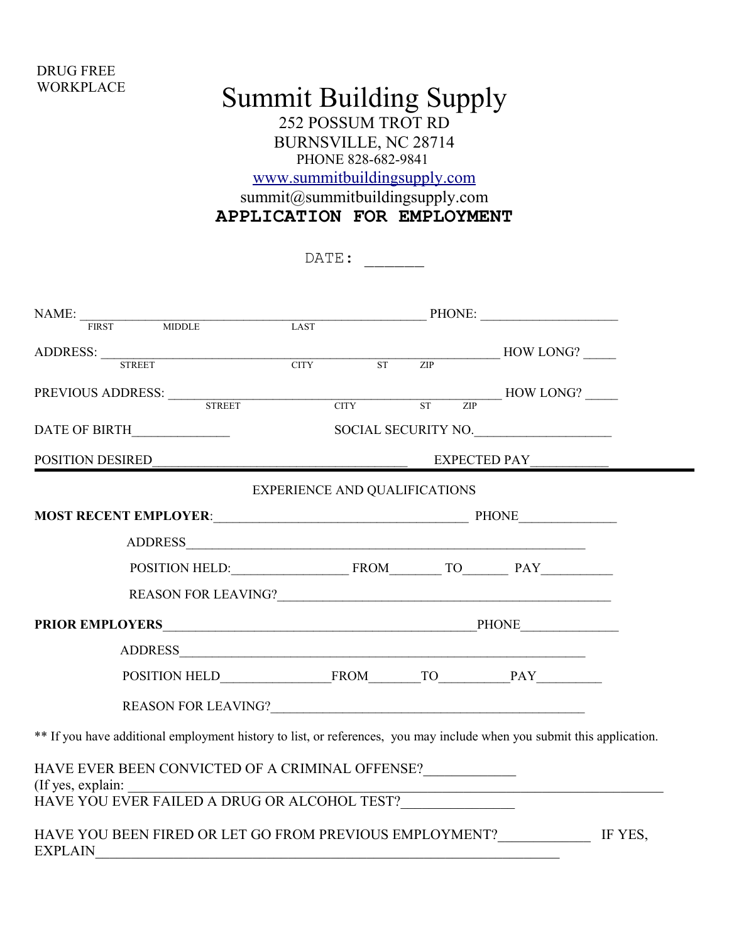## DRUG FREE **WORKPLACE**

## Summit Building Supply 252 POSSUM TROT RD BURNSVILLE, NC 28714 PHONE 828-682-9841 [www.summitbuildingsupply.com](http://www.summitbuildingsupply.com/) summit@summitbuildingsupply.com

|                                                                                                                                   | DATE:                                |                                  |  |  |  |  |
|-----------------------------------------------------------------------------------------------------------------------------------|--------------------------------------|----------------------------------|--|--|--|--|
| $\begin{tabular}{l c c c c c} \hline \texttt{NAME:} & \texttt{minMLE} & \texttt{PHONE:} & \texttt{PHONE:} \\\hline \end{tabular}$ |                                      |                                  |  |  |  |  |
| ADDRESS: <u>FIREET CITY</u> ST ZIP HOW LONG?                                                                                      |                                      |                                  |  |  |  |  |
| PREVIOUS ADDRESS: <u>STREET</u> CITY ST ZIP HOW LONG?                                                                             |                                      |                                  |  |  |  |  |
| DATE OF BIRTH                                                                                                                     |                                      | SOCIAL SECURITY NO.              |  |  |  |  |
|                                                                                                                                   |                                      | POSITION DESIRED<br>EXPECTED PAY |  |  |  |  |
|                                                                                                                                   | <b>EXPERIENCE AND QUALIFICATIONS</b> |                                  |  |  |  |  |
|                                                                                                                                   |                                      |                                  |  |  |  |  |
|                                                                                                                                   | ADDRESS                              |                                  |  |  |  |  |
|                                                                                                                                   | POSITION HELD: FROM TO PAY           |                                  |  |  |  |  |
|                                                                                                                                   |                                      |                                  |  |  |  |  |
|                                                                                                                                   |                                      |                                  |  |  |  |  |
|                                                                                                                                   |                                      |                                  |  |  |  |  |
|                                                                                                                                   |                                      |                                  |  |  |  |  |
|                                                                                                                                   |                                      |                                  |  |  |  |  |
| ** If you have additional employment history to list, or references, you may include when you submit this application.            |                                      |                                  |  |  |  |  |
| HAVE EVER BEEN CONVICTED OF A CRIMINAL OFFENSE?<br>(If yes, explain:                                                              |                                      |                                  |  |  |  |  |